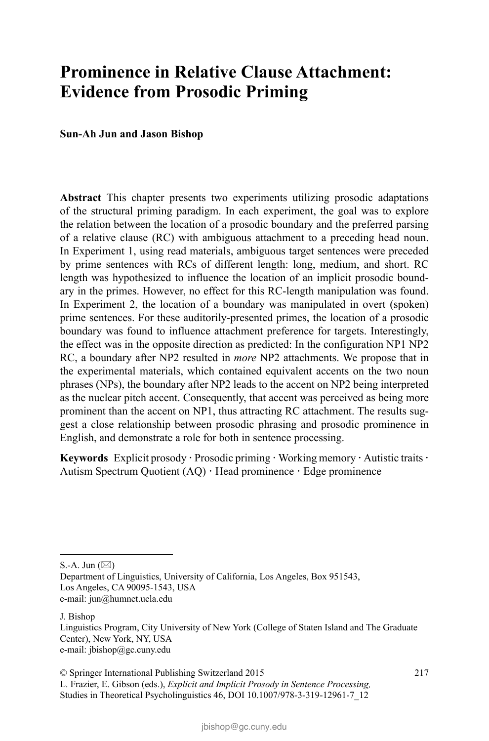# **Prominence in Relative Clause Attachment: Evidence from Prosodic Priming**

#### **Sun-Ah Jun and Jason Bishop**

**Abstract** This chapter presents two experiments utilizing prosodic adaptations of the structural priming paradigm. In each experiment, the goal was to explore the relation between the location of a prosodic boundary and the preferred parsing of a relative clause (RC) with ambiguous attachment to a preceding head noun. In Experiment 1, using read materials, ambiguous target sentences were preceded by prime sentences with RCs of different length: long, medium, and short. RC length was hypothesized to influence the location of an implicit prosodic boundary in the primes. However, no effect for this RC-length manipulation was found. In Experiment 2, the location of a boundary was manipulated in overt (spoken) prime sentences. For these auditorily-presented primes, the location of a prosodic boundary was found to influence attachment preference for targets. Interestingly, the effect was in the opposite direction as predicted: In the configuration NP1 NP2 RC, a boundary after NP2 resulted in *more* NP2 attachments. We propose that in the experimental materials, which contained equivalent accents on the two noun phrases (NPs), the boundary after NP2 leads to the accent on NP2 being interpreted as the nuclear pitch accent. Consequently, that accent was perceived as being more prominent than the accent on NP1, thus attracting RC attachment. The results suggest a close relationship between prosodic phrasing and prosodic prominence in English, and demonstrate a role for both in sentence processing.

**Keywords** Explicit prosody **·** Prosodic priming **·** Working memory **·** Autistic traits**·**  Autism Spectrum Quotient (AQ) **·** Head prominence **·** Edge prominence

S.-A. Jun  $(\boxtimes)$ 

J. Bishop

© Springer International Publishing Switzerland 2015 217

L. Frazier, E. Gibson (eds.), *Explicit and Implicit Prosody in Sentence Processing,*  Studies in Theoretical Psycholinguistics 46, DOI 10.1007/978-3-319-12961-7\_12

Department of Linguistics, University of California, Los Angeles, Box 951543, Los Angeles, CA 90095-1543, USA e-mail: jun@humnet.ucla.edu

Linguistics Program, City University of New York (College of Staten Island and The Graduate Center), New York, NY, USA e-mail: jbishop@gc.cuny.edu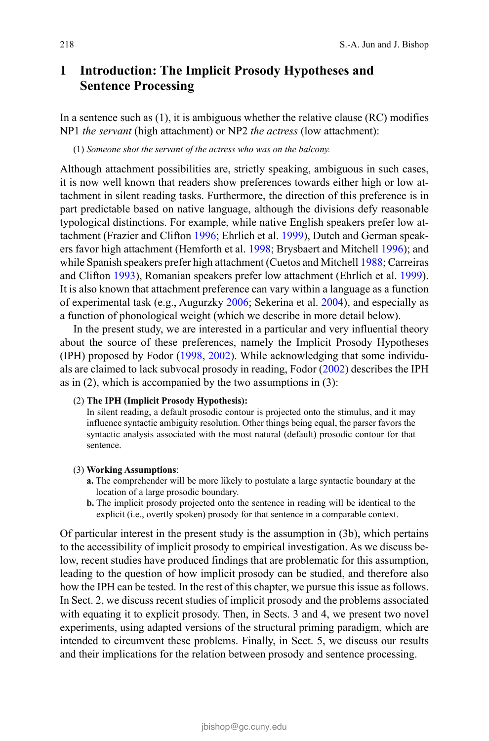# **1 Introduction: The Implicit Prosody Hypotheses and Sentence Processing**

In a sentence such as (1), it is ambiguous whether the relative clause (RC) modifies NP1 *the servant* (high attachment) or NP2 *the actress* (low attachment):

(1) *Someone shot the servant of the actress who was on the balcony.*

Although attachment possibilities are, strictly speaking, ambiguous in such cases, it is now well known that readers show preferences towards either high or low attachment in silent reading tasks. Furthermore, the direction of this preference is in part predictable based on native language, although the divisions defy reasonable typological distinctions. For example, while native English speakers prefer low attachment (Frazier and Clifton 1996; Ehrlich et al. 1999), Dutch and German speakers favor high attachment (Hemforth et al. 1998; Brysbaert and Mitchell 1996); and while Spanish speakers prefer high attachment (Cuetos and Mitchell 1988; Carreiras and Clifton 1993), Romanian speakers prefer low attachment (Ehrlich et al. 1999). It is also known that attachment preference can vary within a language as a function of experimental task (e.g., Augurzky 2006; Sekerina et al. 2004), and especially as a function of phonological weight (which we describe in more detail below).

In the present study, we are interested in a particular and very influential theory about the source of these preferences, namely the Implicit Prosody Hypotheses (IPH) proposed by Fodor (1998, 2002). While acknowledging that some individuals are claimed to lack subvocal prosody in reading, Fodor (2002) describes the IPH as in (2), which is accompanied by the two assumptions in (3):

(2) **The IPH (Implicit Prosody Hypothesis):**

In silent reading, a default prosodic contour is projected onto the stimulus, and it may influence syntactic ambiguity resolution. Other things being equal, the parser favors the syntactic analysis associated with the most natural (default) prosodic contour for that sentence.

- (3) **Working Assumptions**:
	- **a.** The comprehender will be more likely to postulate a large syntactic boundary at the location of a large prosodic boundary.
	- **b.** The implicit prosody projected onto the sentence in reading will be identical to the explicit (i.e., overtly spoken) prosody for that sentence in a comparable context.

Of particular interest in the present study is the assumption in (3b), which pertains to the accessibility of implicit prosody to empirical investigation. As we discuss below, recent studies have produced findings that are problematic for this assumption, leading to the question of how implicit prosody can be studied, and therefore also how the IPH can be tested. In the rest of this chapter, we pursue this issue as follows. In Sect. 2, we discuss recent studies of implicit prosody and the problems associated with equating it to explicit prosody. Then, in Sects. 3 and 4, we present two novel experiments, using adapted versions of the structural priming paradigm, which are intended to circumvent these problems. Finally, in Sect. 5, we discuss our results and their implications for the relation between prosody and sentence processing.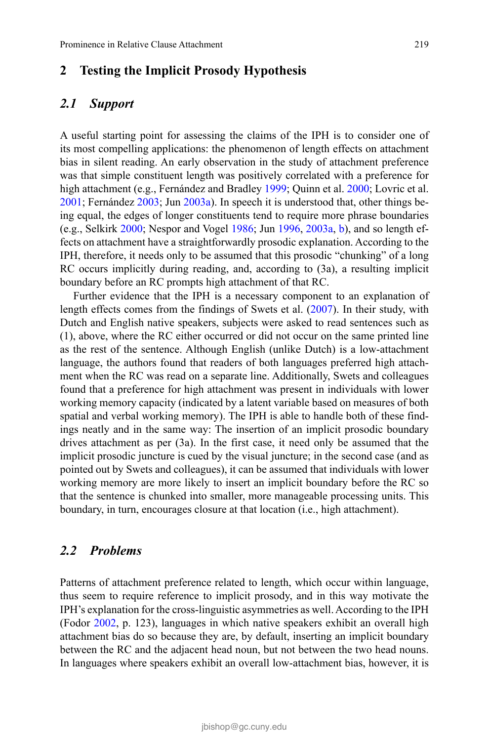### **2 Testing the Implicit Prosody Hypothesis**

### *2.1 Support*

A useful starting point for assessing the claims of the IPH is to consider one of its most compelling applications: the phenomenon of length effects on attachment bias in silent reading. An early observation in the study of attachment preference was that simple constituent length was positively correlated with a preference for high attachment (e.g., Fernández and Bradley 1999; Quinn et al. 2000; Lovric et al. 2001; Fernández 2003; Jun 2003a). In speech it is understood that, other things being equal, the edges of longer constituents tend to require more phrase boundaries (e.g., Selkirk 2000; Nespor and Vogel 1986; Jun 1996, 2003a, b), and so length effects on attachment have a straightforwardly prosodic explanation. According to the IPH, therefore, it needs only to be assumed that this prosodic "chunking" of a long RC occurs implicitly during reading, and, according to (3a), a resulting implicit boundary before an RC prompts high attachment of that RC.

Further evidence that the IPH is a necessary component to an explanation of length effects comes from the findings of Swets et al. (2007). In their study, with Dutch and English native speakers, subjects were asked to read sentences such as (1), above, where the RC either occurred or did not occur on the same printed line as the rest of the sentence. Although English (unlike Dutch) is a low-attachment language, the authors found that readers of both languages preferred high attachment when the RC was read on a separate line. Additionally, Swets and colleagues found that a preference for high attachment was present in individuals with lower working memory capacity (indicated by a latent variable based on measures of both spatial and verbal working memory). The IPH is able to handle both of these findings neatly and in the same way: The insertion of an implicit prosodic boundary drives attachment as per (3a). In the first case, it need only be assumed that the implicit prosodic juncture is cued by the visual juncture; in the second case (and as pointed out by Swets and colleagues), it can be assumed that individuals with lower working memory are more likely to insert an implicit boundary before the RC so that the sentence is chunked into smaller, more manageable processing units. This boundary, in turn, encourages closure at that location (i.e., high attachment).

# *2.2 Problems*

Patterns of attachment preference related to length, which occur within language, thus seem to require reference to implicit prosody, and in this way motivate the IPH's explanation for the cross-linguistic asymmetries as well. According to the IPH (Fodor 2002, p. 123), languages in which native speakers exhibit an overall high attachment bias do so because they are, by default, inserting an implicit boundary between the RC and the adjacent head noun, but not between the two head nouns. In languages where speakers exhibit an overall low-attachment bias, however, it is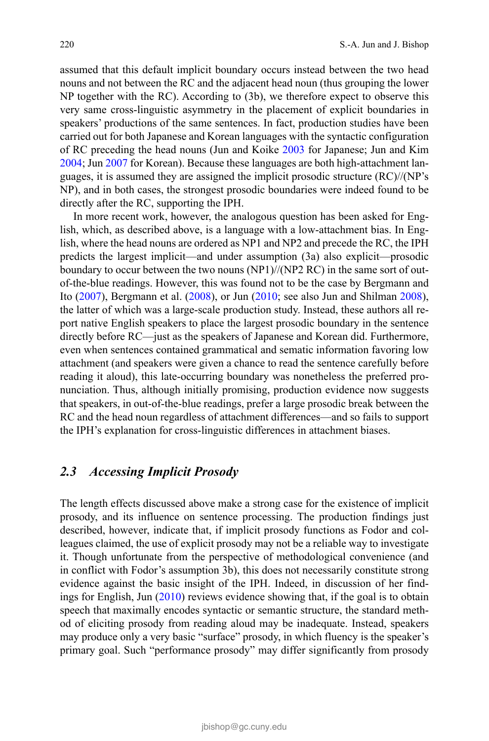assumed that this default implicit boundary occurs instead between the two head nouns and not between the RC and the adjacent head noun (thus grouping the lower NP together with the RC). According to (3b), we therefore expect to observe this very same cross-linguistic asymmetry in the placement of explicit boundaries in speakers' productions of the same sentences. In fact, production studies have been carried out for both Japanese and Korean languages with the syntactic configuration of RC preceding the head nouns (Jun and Koike 2003 for Japanese; Jun and Kim 2004; Jun 2007 for Korean). Because these languages are both high-attachment languages, it is assumed they are assigned the implicit prosodic structure (RC)//(NP's NP), and in both cases, the strongest prosodic boundaries were indeed found to be directly after the RC, supporting the IPH.

In more recent work, however, the analogous question has been asked for English, which, as described above, is a language with a low-attachment bias. In English, where the head nouns are ordered as NP1 and NP2 and precede the RC, the IPH predicts the largest implicit—and under assumption (3a) also explicit—prosodic boundary to occur between the two nouns (NP1)//(NP2 RC) in the same sort of outof-the-blue readings. However, this was found not to be the case by Bergmann and Ito (2007), Bergmann et al. (2008), or Jun (2010; see also Jun and Shilman 2008), the latter of which was a large-scale production study. Instead, these authors all report native English speakers to place the largest prosodic boundary in the sentence directly before RC—just as the speakers of Japanese and Korean did. Furthermore, even when sentences contained grammatical and sematic information favoring low attachment (and speakers were given a chance to read the sentence carefully before reading it aloud), this late-occurring boundary was nonetheless the preferred pronunciation. Thus, although initially promising, production evidence now suggests that speakers, in out-of-the-blue readings, prefer a large prosodic break between the RC and the head noun regardless of attachment differences—and so fails to support the IPH's explanation for cross-linguistic differences in attachment biases.

# *2.3 Accessing Implicit Prosody*

The length effects discussed above make a strong case for the existence of implicit prosody, and its influence on sentence processing. The production findings just described, however, indicate that, if implicit prosody functions as Fodor and colleagues claimed, the use of explicit prosody may not be a reliable way to investigate it. Though unfortunate from the perspective of methodological convenience (and in conflict with Fodor's assumption 3b), this does not necessarily constitute strong evidence against the basic insight of the IPH. Indeed, in discussion of her findings for English, Jun (2010) reviews evidence showing that, if the goal is to obtain speech that maximally encodes syntactic or semantic structure, the standard method of eliciting prosody from reading aloud may be inadequate. Instead, speakers may produce only a very basic "surface" prosody, in which fluency is the speaker's primary goal. Such "performance prosody" may differ significantly from prosody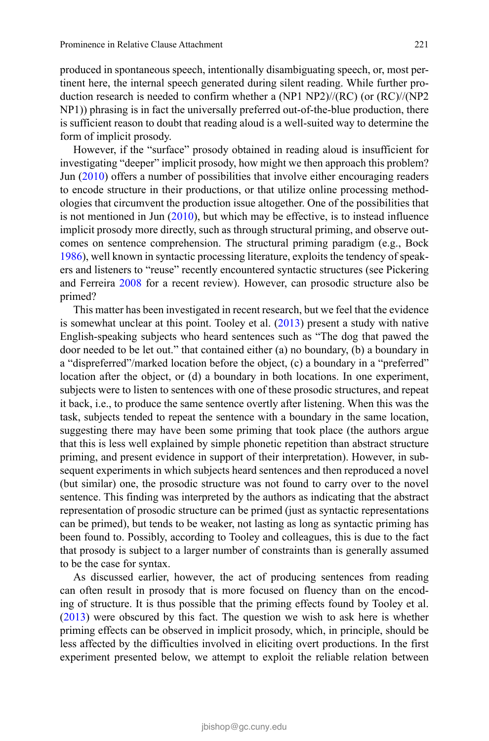produced in spontaneous speech, intentionally disambiguating speech, or, most pertinent here, the internal speech generated during silent reading. While further production research is needed to confirm whether a (NP1 NP2)//(RC) (or (RC)//(NP2 NP1)) phrasing is in fact the universally preferred out-of-the-blue production, there is sufficient reason to doubt that reading aloud is a well-suited way to determine the form of implicit prosody.

However, if the "surface" prosody obtained in reading aloud is insufficient for investigating "deeper" implicit prosody, how might we then approach this problem? Jun (2010) offers a number of possibilities that involve either encouraging readers to encode structure in their productions, or that utilize online processing methodologies that circumvent the production issue altogether. One of the possibilities that is not mentioned in Jun  $(2010)$ , but which may be effective, is to instead influence implicit prosody more directly, such as through structural priming, and observe outcomes on sentence comprehension. The structural priming paradigm (e.g., Bock 1986), well known in syntactic processing literature, exploits the tendency of speakers and listeners to "reuse" recently encountered syntactic structures (see Pickering and Ferreira 2008 for a recent review). However, can prosodic structure also be primed?

This matter has been investigated in recent research, but we feel that the evidence is somewhat unclear at this point. Tooley et al. (2013) present a study with native English-speaking subjects who heard sentences such as "The dog that pawed the door needed to be let out." that contained either (a) no boundary, (b) a boundary in a "dispreferred"/marked location before the object, (c) a boundary in a "preferred" location after the object, or (d) a boundary in both locations. In one experiment, subjects were to listen to sentences with one of these prosodic structures, and repeat it back, i.e., to produce the same sentence overtly after listening. When this was the task, subjects tended to repeat the sentence with a boundary in the same location, suggesting there may have been some priming that took place (the authors argue that this is less well explained by simple phonetic repetition than abstract structure priming, and present evidence in support of their interpretation). However, in subsequent experiments in which subjects heard sentences and then reproduced a novel (but similar) one, the prosodic structure was not found to carry over to the novel sentence. This finding was interpreted by the authors as indicating that the abstract representation of prosodic structure can be primed (just as syntactic representations can be primed), but tends to be weaker, not lasting as long as syntactic priming has been found to. Possibly, according to Tooley and colleagues, this is due to the fact that prosody is subject to a larger number of constraints than is generally assumed to be the case for syntax.

As discussed earlier, however, the act of producing sentences from reading can often result in prosody that is more focused on fluency than on the encoding of structure. It is thus possible that the priming effects found by Tooley et al. (2013) were obscured by this fact. The question we wish to ask here is whether priming effects can be observed in implicit prosody, which, in principle, should be less affected by the difficulties involved in eliciting overt productions. In the first experiment presented below, we attempt to exploit the reliable relation between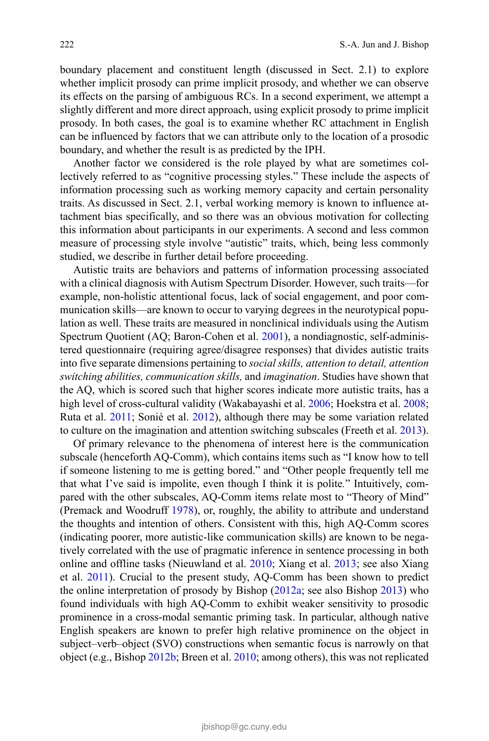boundary placement and constituent length (discussed in Sect. 2.1) to explore whether implicit prosody can prime implicit prosody, and whether we can observe its effects on the parsing of ambiguous RCs. In a second experiment, we attempt a slightly different and more direct approach, using explicit prosody to prime implicit prosody. In both cases, the goal is to examine whether RC attachment in English can be influenced by factors that we can attribute only to the location of a prosodic boundary, and whether the result is as predicted by the IPH.

Another factor we considered is the role played by what are sometimes collectively referred to as "cognitive processing styles." These include the aspects of information processing such as working memory capacity and certain personality traits. As discussed in Sect. 2.1, verbal working memory is known to influence attachment bias specifically, and so there was an obvious motivation for collecting this information about participants in our experiments. A second and less common measure of processing style involve "autistic" traits, which, being less commonly studied, we describe in further detail before proceeding.

Autistic traits are behaviors and patterns of information processing associated with a clinical diagnosis with Autism Spectrum Disorder. However, such traits—for example, non-holistic attentional focus, lack of social engagement, and poor communication skills—are known to occur to varying degrees in the neurotypical population as well. These traits are measured in nonclinical individuals using the Autism Spectrum Quotient (AQ; Baron-Cohen et al. 2001), a nondiagnostic, self-administered questionnaire (requiring agree/disagree responses) that divides autistic traits into five separate dimensions pertaining to *social skills, attention to detail, attention switching abilities, communication skills,* and *imagination*. Studies have shown that the AQ, which is scored such that higher scores indicate more autistic traits, has a high level of cross-cultural validity (Wakabayashi et al. 2006; Hoekstra et al. 2008; Ruta et al. 2011; Sonié et al. 2012), although there may be some variation related to culture on the imagination and attention switching subscales (Freeth et al. 2013).

Of primary relevance to the phenomena of interest here is the communication subscale (henceforth AQ-Comm), which contains items such as "I know how to tell if someone listening to me is getting bored." and "Other people frequently tell me that what I've said is impolite, even though I think it is polite*.*" Intuitively, compared with the other subscales, AQ-Comm items relate most to "Theory of Mind" (Premack and Woodruff 1978), or, roughly, the ability to attribute and understand the thoughts and intention of others. Consistent with this, high AQ-Comm scores (indicating poorer, more autistic-like communication skills) are known to be negatively correlated with the use of pragmatic inference in sentence processing in both online and offline tasks (Nieuwland et al. 2010; Xiang et al. 2013; see also Xiang et al. 2011). Crucial to the present study, AQ-Comm has been shown to predict the online interpretation of prosody by Bishop (2012a; see also Bishop 2013) who found individuals with high AQ-Comm to exhibit weaker sensitivity to prosodic prominence in a cross-modal semantic priming task. In particular, although native English speakers are known to prefer high relative prominence on the object in subject–verb–object (SVO) constructions when semantic focus is narrowly on that object (e.g., Bishop 2012b; Breen et al. 2010; among others), this was not replicated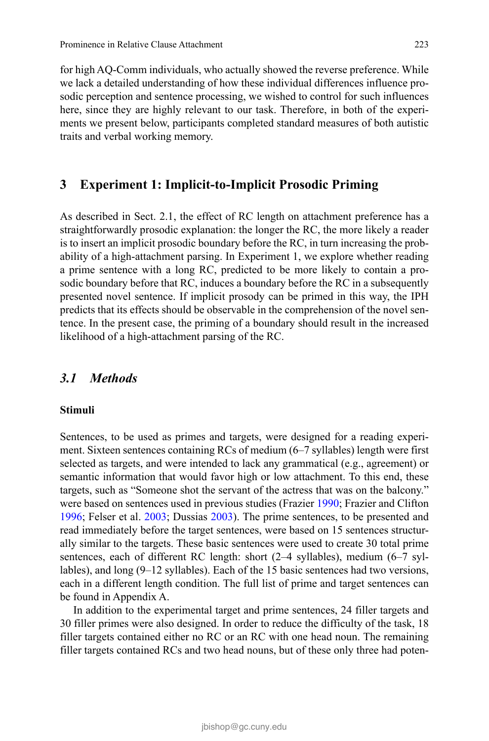for high AQ-Comm individuals, who actually showed the reverse preference. While we lack a detailed understanding of how these individual differences influence prosodic perception and sentence processing, we wished to control for such influences here, since they are highly relevant to our task. Therefore, in both of the experiments we present below, participants completed standard measures of both autistic traits and verbal working memory.

### **3 Experiment 1: Implicit-to-Implicit Prosodic Priming**

As described in Sect. 2.1, the effect of RC length on attachment preference has a straightforwardly prosodic explanation: the longer the RC, the more likely a reader is to insert an implicit prosodic boundary before the RC, in turn increasing the probability of a high-attachment parsing. In Experiment 1, we explore whether reading a prime sentence with a long RC, predicted to be more likely to contain a prosodic boundary before that RC, induces a boundary before the RC in a subsequently presented novel sentence. If implicit prosody can be primed in this way, the IPH predicts that its effects should be observable in the comprehension of the novel sentence. In the present case, the priming of a boundary should result in the increased likelihood of a high-attachment parsing of the RC.

# *3.1 Methods*

#### **Stimuli**

Sentences, to be used as primes and targets, were designed for a reading experiment. Sixteen sentences containing RCs of medium (6–7 syllables) length were first selected as targets, and were intended to lack any grammatical (e.g., agreement) or semantic information that would favor high or low attachment. To this end, these targets, such as "Someone shot the servant of the actress that was on the balcony." were based on sentences used in previous studies (Frazier 1990; Frazier and Clifton 1996; Felser et al. 2003; Dussias 2003). The prime sentences, to be presented and read immediately before the target sentences, were based on 15 sentences structurally similar to the targets. These basic sentences were used to create 30 total prime sentences, each of different RC length: short (2–4 syllables), medium (6–7 syllables), and long (9–12 syllables). Each of the 15 basic sentences had two versions, each in a different length condition. The full list of prime and target sentences can be found in Appendix A.

In addition to the experimental target and prime sentences, 24 filler targets and 30 filler primes were also designed. In order to reduce the difficulty of the task, 18 filler targets contained either no RC or an RC with one head noun. The remaining filler targets contained RCs and two head nouns, but of these only three had poten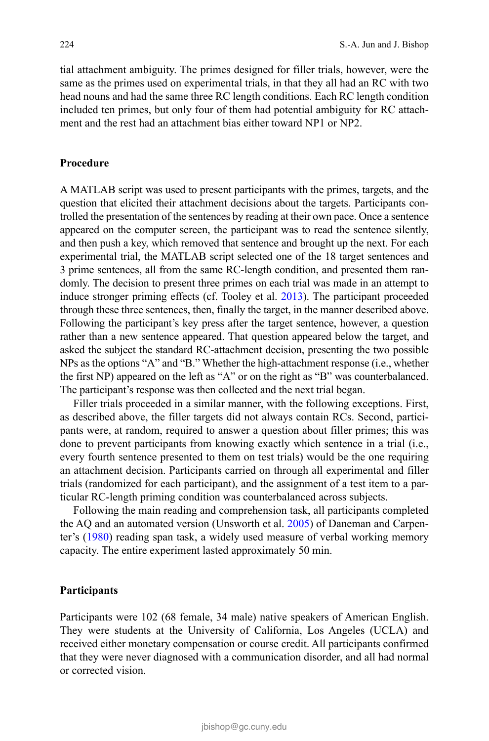tial attachment ambiguity. The primes designed for filler trials, however, were the same as the primes used on experimental trials, in that they all had an RC with two head nouns and had the same three RC length conditions. Each RC length condition included ten primes, but only four of them had potential ambiguity for RC attachment and the rest had an attachment bias either toward NP1 or NP2.

#### **Procedure**

A MATLAB script was used to present participants with the primes, targets, and the question that elicited their attachment decisions about the targets. Participants controlled the presentation of the sentences by reading at their own pace. Once a sentence appeared on the computer screen, the participant was to read the sentence silently, and then push a key, which removed that sentence and brought up the next. For each experimental trial, the MATLAB script selected one of the 18 target sentences and 3 prime sentences, all from the same RC-length condition, and presented them randomly. The decision to present three primes on each trial was made in an attempt to induce stronger priming effects (cf. Tooley et al. 2013). The participant proceeded through these three sentences, then, finally the target, in the manner described above. Following the participant's key press after the target sentence, however, a question rather than a new sentence appeared. That question appeared below the target, and asked the subject the standard RC-attachment decision, presenting the two possible NPs as the options "A" and "B." Whether the high-attachment response (i.e., whether the first NP) appeared on the left as "A" or on the right as "B" was counterbalanced. The participant's response was then collected and the next trial began.

Filler trials proceeded in a similar manner, with the following exceptions. First, as described above, the filler targets did not always contain RCs. Second, participants were, at random, required to answer a question about filler primes; this was done to prevent participants from knowing exactly which sentence in a trial (i.e., every fourth sentence presented to them on test trials) would be the one requiring an attachment decision. Participants carried on through all experimental and filler trials (randomized for each participant), and the assignment of a test item to a particular RC-length priming condition was counterbalanced across subjects.

Following the main reading and comprehension task, all participants completed the AQ and an automated version (Unsworth et al. 2005) of Daneman and Carpenter's (1980) reading span task, a widely used measure of verbal working memory capacity. The entire experiment lasted approximately 50 min.

#### **Participants**

Participants were 102 (68 female, 34 male) native speakers of American English. They were students at the University of California, Los Angeles (UCLA) and received either monetary compensation or course credit. All participants confirmed that they were never diagnosed with a communication disorder, and all had normal or corrected vision.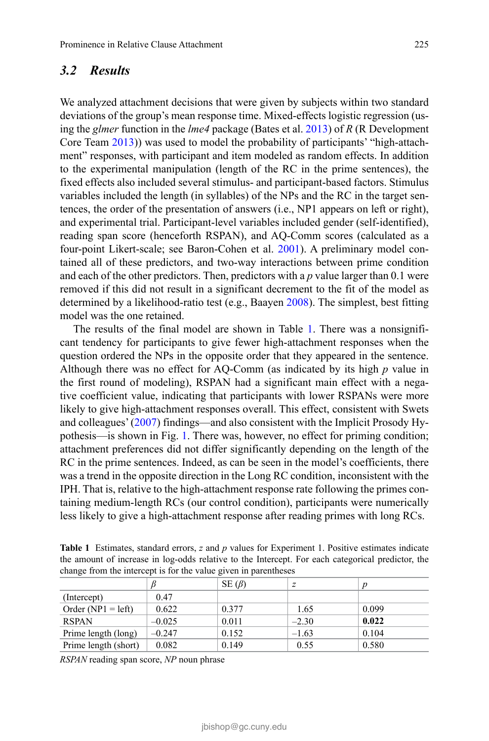### *3.2 Results*

We analyzed attachment decisions that were given by subjects within two standard deviations of the group's mean response time. Mixed-effects logistic regression (using the *glmer* function in the *lme4* package (Bates et al. 2013) of *R* (R Development Core Team 2013)) was used to model the probability of participants' "high-attachment" responses, with participant and item modeled as random effects. In addition to the experimental manipulation (length of the RC in the prime sentences), the fixed effects also included several stimulus- and participant-based factors. Stimulus variables included the length (in syllables) of the NPs and the RC in the target sentences, the order of the presentation of answers (i.e., NP1 appears on left or right), and experimental trial. Participant-level variables included gender (self-identified), reading span score (henceforth RSPAN), and AQ-Comm scores (calculated as a four-point Likert-scale; see Baron-Cohen et al. 2001). A preliminary model contained all of these predictors, and two-way interactions between prime condition and each of the other predictors. Then, predictors with a *p* value larger than 0.1 were removed if this did not result in a significant decrement to the fit of the model as determined by a likelihood-ratio test (e.g., Baayen 2008). The simplest, best fitting model was the one retained.

The results of the final model are shown in Table 1. There was a nonsignificant tendency for participants to give fewer high-attachment responses when the question ordered the NPs in the opposite order that they appeared in the sentence. Although there was no effect for AQ-Comm (as indicated by its high *p* value in the first round of modeling), RSPAN had a significant main effect with a negative coefficient value, indicating that participants with lower RSPANs were more likely to give high-attachment responses overall. This effect, consistent with Swets and colleagues' (2007) findings—and also consistent with the Implicit Prosody Hypothesis—is shown in Fig. 1. There was, however, no effect for priming condition; attachment preferences did not differ significantly depending on the length of the RC in the prime sentences. Indeed, as can be seen in the model's coefficients, there was a trend in the opposite direction in the Long RC condition, inconsistent with the IPH. That is, relative to the high-attachment response rate following the primes containing medium-length RCs (our control condition), participants were numerically less likely to give a high-attachment response after reading primes with long RCs.

| <b>Table 1</b> Estimates, standard errors, z and p values for Experiment 1. Positive estimates indicate |  |  |
|---------------------------------------------------------------------------------------------------------|--|--|
| the amount of increase in log-odds relative to the Intercept. For each categorical predictor, the       |  |  |
| change from the intercept is for the value given in parentheses                                         |  |  |

|                        |          | SE $(\beta)$ |         | n     |
|------------------------|----------|--------------|---------|-------|
| (Intercept)            | 0.47     |              |         |       |
| Order ( $NP1 = left$ ) | 0.622    | 0.377        | 1.65    | 0.099 |
| <b>RSPAN</b>           | $-0.025$ | 0.011        | $-2.30$ | 0.022 |
| Prime length (long)    | $-0.247$ | 0.152        | $-1.63$ | 0.104 |
| Prime length (short)   | 0.082    | 0.149        | 0.55    | 0.580 |
|                        |          |              |         |       |

*RSPAN* reading span score, *NP* noun phrase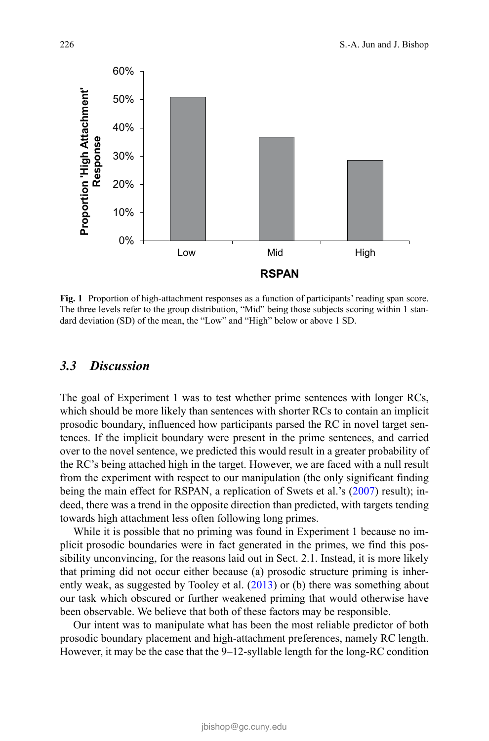

**Fig. 1** Proportion of high-attachment responses as a function of participants' reading span score. The three levels refer to the group distribution, "Mid" being those subjects scoring within 1 standard deviation (SD) of the mean, the "Low" and "High" below or above 1 SD.

# *3.3 Discussion*

The goal of Experiment 1 was to test whether prime sentences with longer RCs, which should be more likely than sentences with shorter RCs to contain an implicit prosodic boundary, influenced how participants parsed the RC in novel target sentences. If the implicit boundary were present in the prime sentences, and carried over to the novel sentence, we predicted this would result in a greater probability of the RC's being attached high in the target. However, we are faced with a null result from the experiment with respect to our manipulation (the only significant finding being the main effect for RSPAN, a replication of Swets et al.'s (2007) result); indeed, there was a trend in the opposite direction than predicted, with targets tending towards high attachment less often following long primes.

While it is possible that no priming was found in Experiment 1 because no implicit prosodic boundaries were in fact generated in the primes, we find this possibility unconvincing, for the reasons laid out in Sect. 2.1. Instead, it is more likely that priming did not occur either because (a) prosodic structure priming is inherently weak, as suggested by Tooley et al. (2013) or (b) there was something about our task which obscured or further weakened priming that would otherwise have been observable. We believe that both of these factors may be responsible.

Our intent was to manipulate what has been the most reliable predictor of both prosodic boundary placement and high-attachment preferences, namely RC length. However, it may be the case that the 9–12-syllable length for the long-RC condition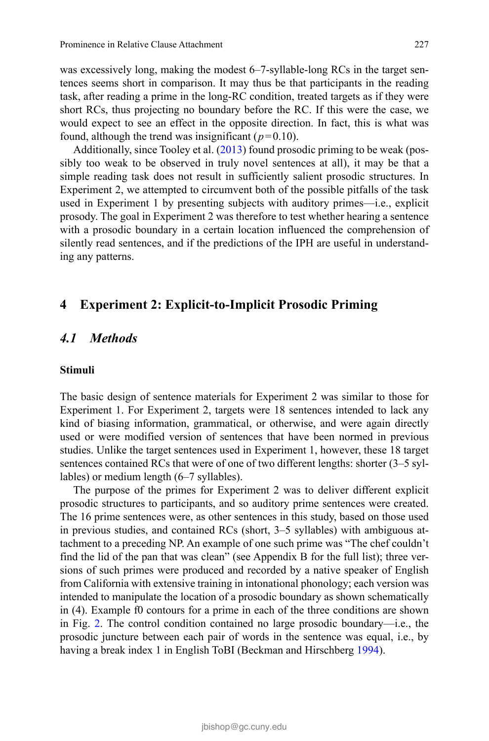was excessively long, making the modest 6–7-syllable-long RCs in the target sentences seems short in comparison. It may thus be that participants in the reading task, after reading a prime in the long-RC condition, treated targets as if they were short RCs, thus projecting no boundary before the RC. If this were the case, we would expect to see an effect in the opposite direction. In fact, this is what was found, although the trend was insignificant ( $p=0.10$ ).

Additionally, since Tooley et al. (2013) found prosodic priming to be weak (possibly too weak to be observed in truly novel sentences at all), it may be that a simple reading task does not result in sufficiently salient prosodic structures. In Experiment 2, we attempted to circumvent both of the possible pitfalls of the task used in Experiment 1 by presenting subjects with auditory primes—i.e., explicit prosody. The goal in Experiment 2 was therefore to test whether hearing a sentence with a prosodic boundary in a certain location influenced the comprehension of silently read sentences, and if the predictions of the IPH are useful in understanding any patterns.

# **4 Experiment 2: Explicit-to-Implicit Prosodic Priming**

### *4.1 Methods*

#### **Stimuli**

The basic design of sentence materials for Experiment 2 was similar to those for Experiment 1. For Experiment 2, targets were 18 sentences intended to lack any kind of biasing information, grammatical, or otherwise, and were again directly used or were modified version of sentences that have been normed in previous studies. Unlike the target sentences used in Experiment 1, however, these 18 target sentences contained RCs that were of one of two different lengths: shorter (3–5 syllables) or medium length (6–7 syllables).

The purpose of the primes for Experiment 2 was to deliver different explicit prosodic structures to participants, and so auditory prime sentences were created. The 16 prime sentences were, as other sentences in this study, based on those used in previous studies, and contained RCs (short, 3–5 syllables) with ambiguous attachment to a preceding NP. An example of one such prime was "The chef couldn't find the lid of the pan that was clean" (see Appendix B for the full list); three versions of such primes were produced and recorded by a native speaker of English from California with extensive training in intonational phonology; each version was intended to manipulate the location of a prosodic boundary as shown schematically in (4). Example f0 contours for a prime in each of the three conditions are shown in Fig. 2. The control condition contained no large prosodic boundary—i.e., the prosodic juncture between each pair of words in the sentence was equal, i.e., by having a break index 1 in English ToBI (Beckman and Hirschberg 1994).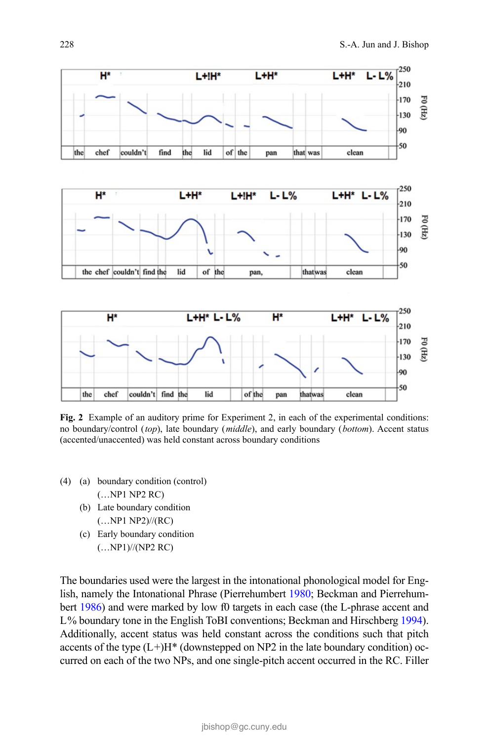

**Fig. 2** Example of an auditory prime for Experiment 2, in each of the experimental conditions: no boundary/control ( *top*), late boundary ( *middle*), and early boundary ( *bottom*). Accent status (accented/unaccented) was held constant across boundary conditions

(4) (a) boundary condition (control)

(…NP1 NP2 RC)

- (b) Late boundary condition (…NP1 NP2)//(RC)
- (c) Early boundary condition (…NP1)//(NP2 RC)

The boundaries used were the largest in the intonational phonological model for English, namely the Intonational Phrase (Pierrehumbert 1980; Beckman and Pierrehumbert 1986) and were marked by low f0 targets in each case (the L-phrase accent and L% boundary tone in the English ToBI conventions; Beckman and Hirschberg 1994). Additionally, accent status was held constant across the conditions such that pitch accents of the type  $(L+)H^*$  (downstepped on NP2 in the late boundary condition) occurred on each of the two NPs, and one single-pitch accent occurred in the RC. Filler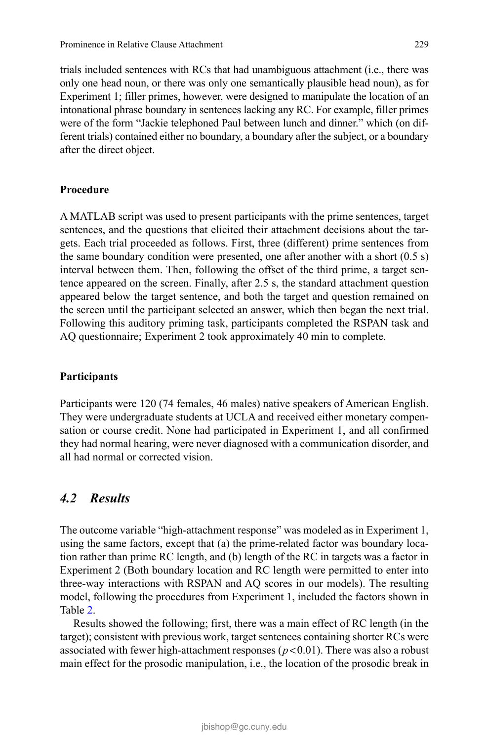trials included sentences with RCs that had unambiguous attachment (i.e., there was only one head noun, or there was only one semantically plausible head noun), as for Experiment 1; filler primes, however, were designed to manipulate the location of an intonational phrase boundary in sentences lacking any RC. For example, filler primes were of the form "Jackie telephoned Paul between lunch and dinner." which (on different trials) contained either no boundary, a boundary after the subject, or a boundary after the direct object.

#### **Procedure**

A MATLAB script was used to present participants with the prime sentences, target sentences, and the questions that elicited their attachment decisions about the targets. Each trial proceeded as follows. First, three (different) prime sentences from the same boundary condition were presented, one after another with a short (0.5 s) interval between them. Then, following the offset of the third prime, a target sentence appeared on the screen. Finally, after 2.5 s, the standard attachment question appeared below the target sentence, and both the target and question remained on the screen until the participant selected an answer, which then began the next trial. Following this auditory priming task, participants completed the RSPAN task and AQ questionnaire; Experiment 2 took approximately 40 min to complete.

#### **Participants**

Participants were 120 (74 females, 46 males) native speakers of American English. They were undergraduate students at UCLA and received either monetary compensation or course credit. None had participated in Experiment 1, and all confirmed they had normal hearing, were never diagnosed with a communication disorder, and all had normal or corrected vision.

# *4.2 Results*

The outcome variable "high-attachment response" was modeled as in Experiment 1, using the same factors, except that (a) the prime-related factor was boundary location rather than prime RC length, and (b) length of the RC in targets was a factor in Experiment 2 (Both boundary location and RC length were permitted to enter into three-way interactions with RSPAN and AQ scores in our models). The resulting model, following the procedures from Experiment 1, included the factors shown in Table 2.

Results showed the following; first, there was a main effect of RC length (in the target); consistent with previous work, target sentences containing shorter RCs were associated with fewer high-attachment responses ( $p$ <0.01). There was also a robust main effect for the prosodic manipulation, i.e., the location of the prosodic break in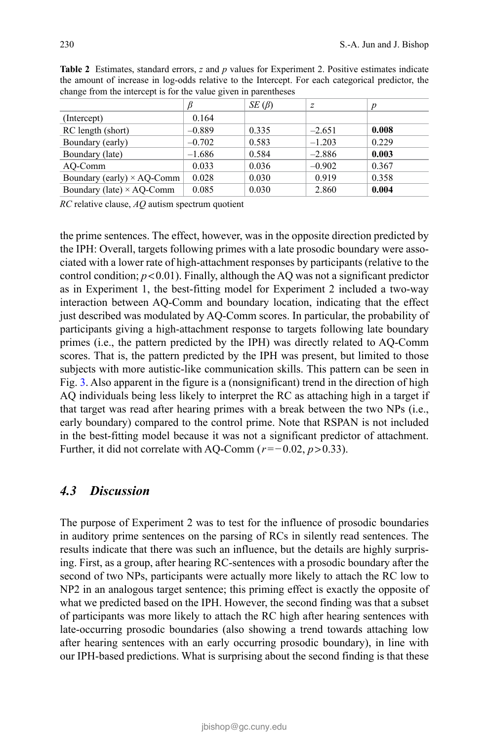|                                   | β        | $SE(\beta)$ | z        | $\boldsymbol{p}$ |
|-----------------------------------|----------|-------------|----------|------------------|
| (Intercept)                       | 0.164    |             |          |                  |
| RC length (short)                 | $-0.889$ | 0.335       | $-2.651$ | 0.008            |
| Boundary (early)                  | $-0.702$ | 0.583       | $-1.203$ | 0.229            |
| Boundary (late)                   | $-1.686$ | 0.584       | $-2.886$ | 0.003            |
| AO-Comm                           | 0.033    | 0.036       | $-0.902$ | 0.367            |
| Boundary (early) $\times$ AQ-Comm | 0.028    | 0.030       | 0.919    | 0.358            |
| Boundary (late) $\times$ AQ-Comm  | 0.085    | 0.030       | 2.860    | 0.004            |

**Table 2** Estimates, standard errors, *z* and *p* values for Experiment 2. Positive estimates indicate the amount of increase in log-odds relative to the Intercept. For each categorical predictor, the change from the intercept is for the value given in parentheses

*RC* relative clause, *AQ* autism spectrum quotient

the prime sentences. The effect, however, was in the opposite direction predicted by the IPH: Overall, targets following primes with a late prosodic boundary were associated with a lower rate of high-attachment responses by participants (relative to the control condition;  $p < 0.01$ ). Finally, although the AQ was not a significant predictor as in Experiment 1, the best-fitting model for Experiment 2 included a two-way interaction between AQ-Comm and boundary location, indicating that the effect just described was modulated by AQ-Comm scores. In particular, the probability of participants giving a high-attachment response to targets following late boundary primes (i.e., the pattern predicted by the IPH) was directly related to AQ-Comm scores. That is, the pattern predicted by the IPH was present, but limited to those subjects with more autistic-like communication skills. This pattern can be seen in Fig. 3. Also apparent in the figure is a (nonsignificant) trend in the direction of high AQ individuals being less likely to interpret the RC as attaching high in a target if that target was read after hearing primes with a break between the two NPs (i.e., early boundary) compared to the control prime. Note that RSPAN is not included in the best-fitting model because it was not a significant predictor of attachment. Further, it did not correlate with AQ-Comm ( $r = -0.02$ ,  $p > 0.33$ ).

# *4.3 Discussion*

The purpose of Experiment 2 was to test for the influence of prosodic boundaries in auditory prime sentences on the parsing of RCs in silently read sentences. The results indicate that there was such an influence, but the details are highly surprising. First, as a group, after hearing RC-sentences with a prosodic boundary after the second of two NPs, participants were actually more likely to attach the RC low to NP2 in an analogous target sentence; this priming effect is exactly the opposite of what we predicted based on the IPH. However, the second finding was that a subset of participants was more likely to attach the RC high after hearing sentences with late-occurring prosodic boundaries (also showing a trend towards attaching low after hearing sentences with an early occurring prosodic boundary), in line with our IPH-based predictions. What is surprising about the second finding is that these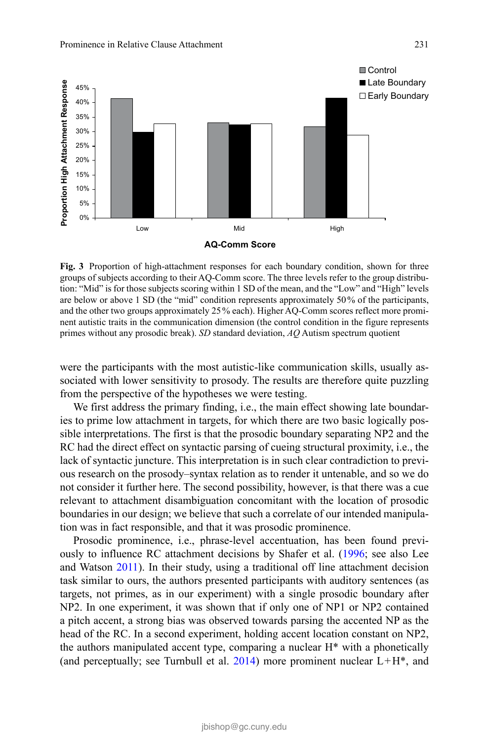

**Fig. 3** Proportion of high-attachment responses for each boundary condition, shown for three groups of subjects according to their AQ-Comm score. The three levels refer to the group distribution: "Mid" is for those subjects scoring within 1 SD of the mean, and the "Low" and "High" levels are below or above 1 SD (the "mid" condition represents approximately 50% of the participants, and the other two groups approximately 25% each). Higher AQ-Comm scores reflect more prominent autistic traits in the communication dimension (the control condition in the figure represents primes without any prosodic break). *SD* standard deviation, *AQ* Autism spectrum quotient

were the participants with the most autistic-like communication skills, usually associated with lower sensitivity to prosody. The results are therefore quite puzzling from the perspective of the hypotheses we were testing.

We first address the primary finding, *i.e.*, the main effect showing late boundaries to prime low attachment in targets, for which there are two basic logically possible interpretations. The first is that the prosodic boundary separating NP2 and the RC had the direct effect on syntactic parsing of cueing structural proximity, i.e., the lack of syntactic juncture. This interpretation is in such clear contradiction to previous research on the prosody–syntax relation as to render it untenable, and so we do not consider it further here. The second possibility, however, is that there was a cue relevant to attachment disambiguation concomitant with the location of prosodic boundaries in our design; we believe that such a correlate of our intended manipulation was in fact responsible, and that it was prosodic prominence.

Prosodic prominence, i.e., phrase-level accentuation, has been found previously to influence RC attachment decisions by Shafer et al. (1996; see also Lee and Watson 2011). In their study, using a traditional off line attachment decision task similar to ours, the authors presented participants with auditory sentences (as targets, not primes, as in our experiment) with a single prosodic boundary after NP2. In one experiment, it was shown that if only one of NP1 or NP2 contained a pitch accent, a strong bias was observed towards parsing the accented NP as the head of the RC. In a second experiment, holding accent location constant on NP2, the authors manipulated accent type, comparing a nuclear H\* with a phonetically (and perceptually; see Turnbull et al.  $2014$ ) more prominent nuclear  $L+H^*$ , and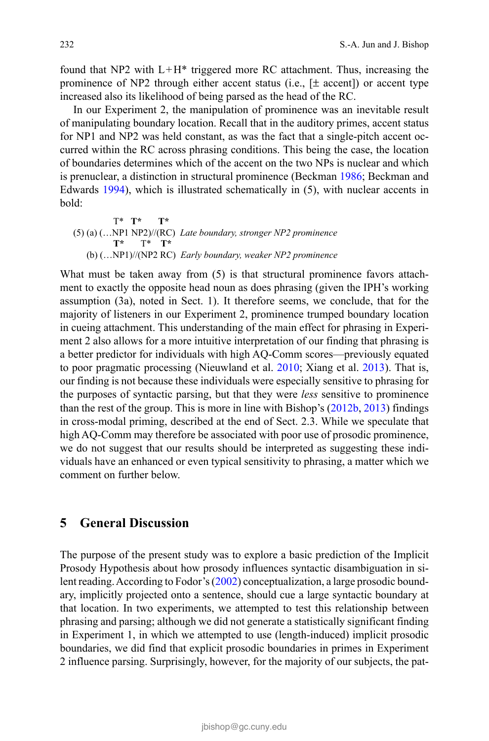found that NP2 with  $L+H^*$  triggered more RC attachment. Thus, increasing the prominence of NP2 through either accent status (i.e., [± accent]) or accent type increased also its likelihood of being parsed as the head of the RC.

In our Experiment 2, the manipulation of prominence was an inevitable result of manipulating boundary location. Recall that in the auditory primes, accent status for NP1 and NP2 was held constant, as was the fact that a single-pitch accent occurred within the RC across phrasing conditions. This being the case, the location of boundaries determines which of the accent on the two NPs is nuclear and which is prenuclear, a distinction in structural prominence (Beckman 1986; Beckman and Edwards 1994), which is illustrated schematically in (5), with nuclear accents in bold:

T\* **T\* T\*** (5) (a) (…NP1 NP2)//(RC) *Late boundary, stronger NP2 prominence* **T\*** T\* **T\*** (b) (…NP1)//(NP2 RC) *Early boundary, weaker NP2 prominence*

What must be taken away from (5) is that structural prominence favors attachment to exactly the opposite head noun as does phrasing (given the IPH's working assumption (3a), noted in Sect. 1). It therefore seems, we conclude, that for the majority of listeners in our Experiment 2, prominence trumped boundary location in cueing attachment. This understanding of the main effect for phrasing in Experiment 2 also allows for a more intuitive interpretation of our finding that phrasing is a better predictor for individuals with high AQ-Comm scores—previously equated to poor pragmatic processing (Nieuwland et al. 2010; Xiang et al. 2013). That is, our finding is not because these individuals were especially sensitive to phrasing for the purposes of syntactic parsing, but that they were *less* sensitive to prominence than the rest of the group. This is more in line with Bishop's (2012b, 2013) findings in cross-modal priming, described at the end of Sect. 2.3. While we speculate that high AQ-Comm may therefore be associated with poor use of prosodic prominence, we do not suggest that our results should be interpreted as suggesting these individuals have an enhanced or even typical sensitivity to phrasing, a matter which we comment on further below.

### **5 General Discussion**

The purpose of the present study was to explore a basic prediction of the Implicit Prosody Hypothesis about how prosody influences syntactic disambiguation in silent reading. According to Fodor's (2002) conceptualization, a large prosodic boundary, implicitly projected onto a sentence, should cue a large syntactic boundary at that location. In two experiments, we attempted to test this relationship between phrasing and parsing; although we did not generate a statistically significant finding in Experiment 1, in which we attempted to use (length-induced) implicit prosodic boundaries, we did find that explicit prosodic boundaries in primes in Experiment 2 influence parsing. Surprisingly, however, for the majority of our subjects, the pat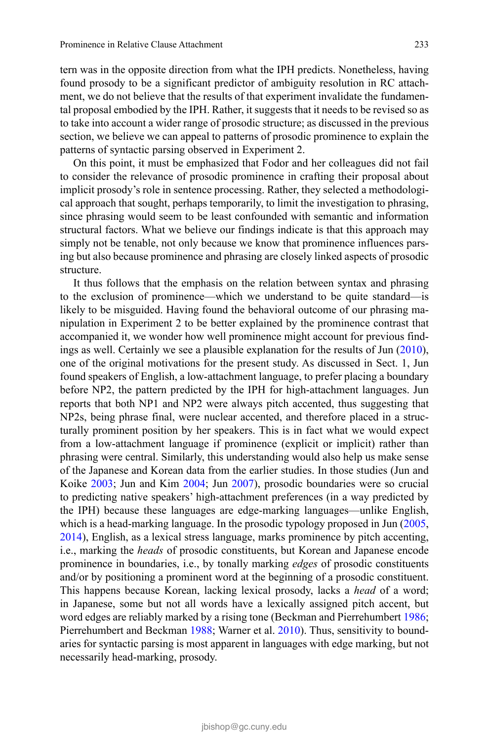tern was in the opposite direction from what the IPH predicts. Nonetheless, having found prosody to be a significant predictor of ambiguity resolution in RC attachment, we do not believe that the results of that experiment invalidate the fundamental proposal embodied by the IPH. Rather, it suggests that it needs to be revised so as to take into account a wider range of prosodic structure; as discussed in the previous section, we believe we can appeal to patterns of prosodic prominence to explain the patterns of syntactic parsing observed in Experiment 2.

On this point, it must be emphasized that Fodor and her colleagues did not fail to consider the relevance of prosodic prominence in crafting their proposal about implicit prosody's role in sentence processing. Rather, they selected a methodological approach that sought, perhaps temporarily, to limit the investigation to phrasing, since phrasing would seem to be least confounded with semantic and information structural factors. What we believe our findings indicate is that this approach may simply not be tenable, not only because we know that prominence influences parsing but also because prominence and phrasing are closely linked aspects of prosodic structure.

It thus follows that the emphasis on the relation between syntax and phrasing to the exclusion of prominence—which we understand to be quite standard—is likely to be misguided. Having found the behavioral outcome of our phrasing manipulation in Experiment 2 to be better explained by the prominence contrast that accompanied it, we wonder how well prominence might account for previous findings as well. Certainly we see a plausible explanation for the results of Jun (2010), one of the original motivations for the present study. As discussed in Sect. 1, Jun found speakers of English, a low-attachment language, to prefer placing a boundary before NP2, the pattern predicted by the IPH for high-attachment languages. Jun reports that both NP1 and NP2 were always pitch accented, thus suggesting that NP2s, being phrase final, were nuclear accented, and therefore placed in a structurally prominent position by her speakers. This is in fact what we would expect from a low-attachment language if prominence (explicit or implicit) rather than phrasing were central. Similarly, this understanding would also help us make sense of the Japanese and Korean data from the earlier studies. In those studies (Jun and Koike 2003; Jun and Kim 2004; Jun 2007), prosodic boundaries were so crucial to predicting native speakers' high-attachment preferences (in a way predicted by the IPH) because these languages are edge-marking languages—unlike English, which is a head-marking language. In the prosodic typology proposed in Jun (2005, 2014), English, as a lexical stress language, marks prominence by pitch accenting, i.e., marking the *heads* of prosodic constituents, but Korean and Japanese encode prominence in boundaries, i.e., by tonally marking *edges* of prosodic constituents and/or by positioning a prominent word at the beginning of a prosodic constituent. This happens because Korean, lacking lexical prosody, lacks a *head* of a word; in Japanese, some but not all words have a lexically assigned pitch accent, but word edges are reliably marked by a rising tone (Beckman and Pierrehumbert 1986; Pierrehumbert and Beckman 1988; Warner et al. 2010). Thus, sensitivity to boundaries for syntactic parsing is most apparent in languages with edge marking, but not necessarily head-marking, prosody.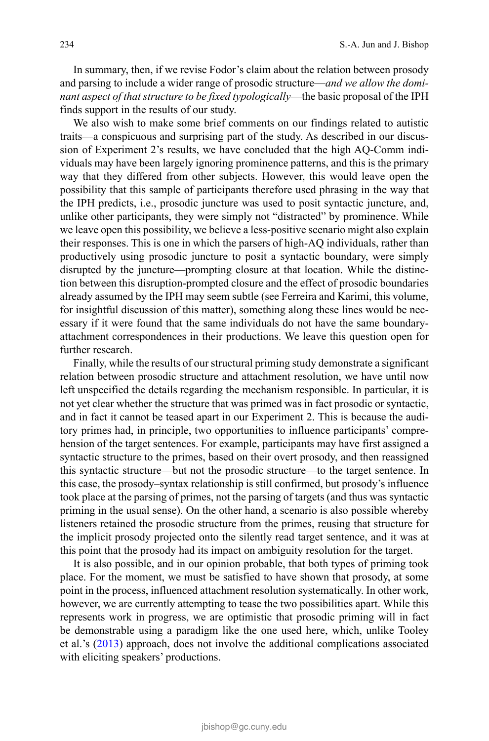In summary, then, if we revise Fodor's claim about the relation between prosody and parsing to include a wider range of prosodic structure—*and we allow the dominant aspect of that structure to be fixed typologically*—the basic proposal of the IPH finds support in the results of our study.

We also wish to make some brief comments on our findings related to autistic traits—a conspicuous and surprising part of the study. As described in our discussion of Experiment 2's results, we have concluded that the high AQ-Comm individuals may have been largely ignoring prominence patterns, and this is the primary way that they differed from other subjects. However, this would leave open the possibility that this sample of participants therefore used phrasing in the way that the IPH predicts, i.e., prosodic juncture was used to posit syntactic juncture, and, unlike other participants, they were simply not "distracted" by prominence. While we leave open this possibility, we believe a less-positive scenario might also explain their responses. This is one in which the parsers of high-AQ individuals, rather than productively using prosodic juncture to posit a syntactic boundary, were simply disrupted by the juncture—prompting closure at that location. While the distinction between this disruption-prompted closure and the effect of prosodic boundaries already assumed by the IPH may seem subtle (see Ferreira and Karimi, this volume, for insightful discussion of this matter), something along these lines would be necessary if it were found that the same individuals do not have the same boundaryattachment correspondences in their productions. We leave this question open for further research.

Finally, while the results of our structural priming study demonstrate a significant relation between prosodic structure and attachment resolution, we have until now left unspecified the details regarding the mechanism responsible. In particular, it is not yet clear whether the structure that was primed was in fact prosodic or syntactic, and in fact it cannot be teased apart in our Experiment 2. This is because the auditory primes had, in principle, two opportunities to influence participants' comprehension of the target sentences. For example, participants may have first assigned a syntactic structure to the primes, based on their overt prosody, and then reassigned this syntactic structure—but not the prosodic structure—to the target sentence. In this case, the prosody–syntax relationship is still confirmed, but prosody's influence took place at the parsing of primes, not the parsing of targets (and thus was syntactic priming in the usual sense). On the other hand, a scenario is also possible whereby listeners retained the prosodic structure from the primes, reusing that structure for the implicit prosody projected onto the silently read target sentence, and it was at this point that the prosody had its impact on ambiguity resolution for the target.

It is also possible, and in our opinion probable, that both types of priming took place. For the moment, we must be satisfied to have shown that prosody, at some point in the process, influenced attachment resolution systematically. In other work, however, we are currently attempting to tease the two possibilities apart. While this represents work in progress, we are optimistic that prosodic priming will in fact be demonstrable using a paradigm like the one used here, which, unlike Tooley et al.'s (2013) approach, does not involve the additional complications associated with eliciting speakers' productions.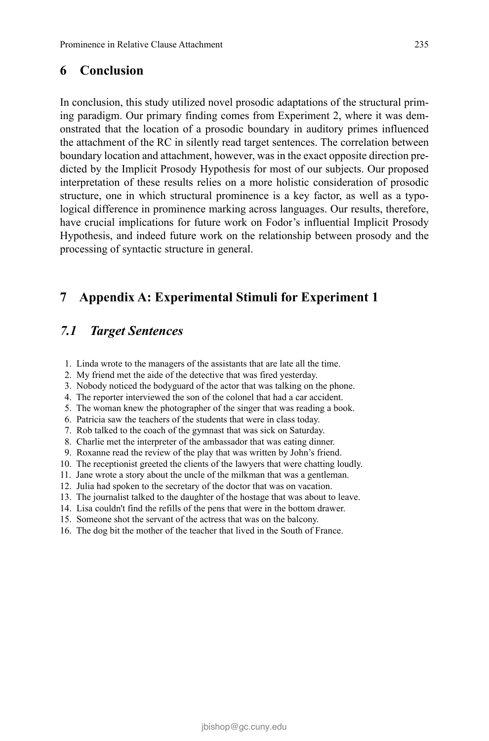# **6 Conclusion**

In conclusion, this study utilized novel prosodic adaptations of the structural priming paradigm. Our primary finding comes from Experiment 2, where it was demonstrated that the location of a prosodic boundary in auditory primes influenced the attachment of the RC in silently read target sentences. The correlation between boundary location and attachment, however, was in the exact opposite direction predicted by the Implicit Prosody Hypothesis for most of our subjects. Our proposed interpretation of these results relies on a more holistic consideration of prosodic structure, one in which structural prominence is a key factor, as well as a typological difference in prominence marking across languages. Our results, therefore, have crucial implications for future work on Fodor's influential Implicit Prosody Hypothesis, and indeed future work on the relationship between prosody and the processing of syntactic structure in general.

# **7 Appendix A: Experimental Stimuli for Experiment 1**

### *7.1 Target Sentences*

- 1. Linda wrote to the managers of the assistants that are late all the time.
- 2. My friend met the aide of the detective that was fired yesterday.
- 3. Nobody noticed the bodyguard of the actor that was talking on the phone.
- 4. The reporter interviewed the son of the colonel that had a car accident.
- 5. The woman knew the photographer of the singer that was reading a book.
- 6. Patricia saw the teachers of the students that were in class today.
- 7. Rob talked to the coach of the gymnast that was sick on Saturday.
- 8. Charlie met the interpreter of the ambassador that was eating dinner.
- 9. Roxanne read the review of the play that was written by John's friend.
- 10. The receptionist greeted the clients of the lawyers that were chatting loudly.
- 11. Jane wrote a story about the uncle of the milkman that was a gentleman.
- 12. Julia had spoken to the secretary of the doctor that was on vacation.
- 13. The journalist talked to the daughter of the hostage that was about to leave.
- 14. Lisa couldn't find the refills of the pens that were in the bottom drawer.
- 15. Someone shot the servant of the actress that was on the balcony.
- 16. The dog bit the mother of the teacher that lived in the South of France.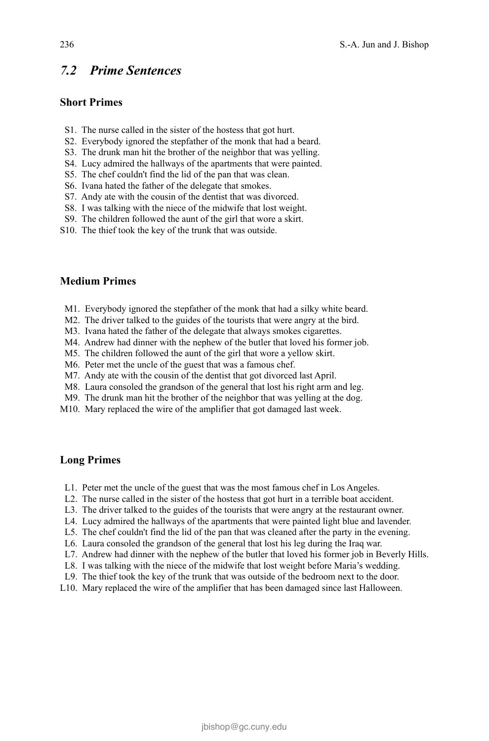# *7.2 Prime Sentences*

#### **Short Primes**

- S1. The nurse called in the sister of the hostess that got hurt.
- S2. Everybody ignored the stepfather of the monk that had a beard.
- S3. The drunk man hit the brother of the neighbor that was yelling.
- S4. Lucy admired the hallways of the apartments that were painted.
- S5. The chef couldn't find the lid of the pan that was clean.
- S6. Ivana hated the father of the delegate that smokes.
- S7. Andy ate with the cousin of the dentist that was divorced.
- S8. I was talking with the niece of the midwife that lost weight.
- S9. The children followed the aunt of the girl that wore a skirt.
- S10. The thief took the key of the trunk that was outside.

#### **Medium Primes**

- M1. Everybody ignored the stepfather of the monk that had a silky white beard.
- M2. The driver talked to the guides of the tourists that were angry at the bird.
- M3. Ivana hated the father of the delegate that always smokes cigarettes.
- M4. Andrew had dinner with the nephew of the butler that loved his former job.
- M5. The children followed the aunt of the girl that wore a yellow skirt.
- M6. Peter met the uncle of the guest that was a famous chef.
- M7. Andy ate with the cousin of the dentist that got divorced last April.
- M8. Laura consoled the grandson of the general that lost his right arm and leg.
- M9. The drunk man hit the brother of the neighbor that was yelling at the dog.
- M10. Mary replaced the wire of the amplifier that got damaged last week.

#### **Long Primes**

- L1. Peter met the uncle of the guest that was the most famous chef in Los Angeles.
- L2. The nurse called in the sister of the hostess that got hurt in a terrible boat accident.
- L3. The driver talked to the guides of the tourists that were angry at the restaurant owner.
- L4. Lucy admired the hallways of the apartments that were painted light blue and lavender.
- L5. The chef couldn't find the lid of the pan that was cleaned after the party in the evening.
- L6. Laura consoled the grandson of the general that lost his leg during the Iraq war.
- L7. Andrew had dinner with the nephew of the butler that loved his former job in Beverly Hills.
- L8. I was talking with the niece of the midwife that lost weight before Maria's wedding.
- L9. The thief took the key of the trunk that was outside of the bedroom next to the door.
- L10. Mary replaced the wire of the amplifier that has been damaged since last Halloween.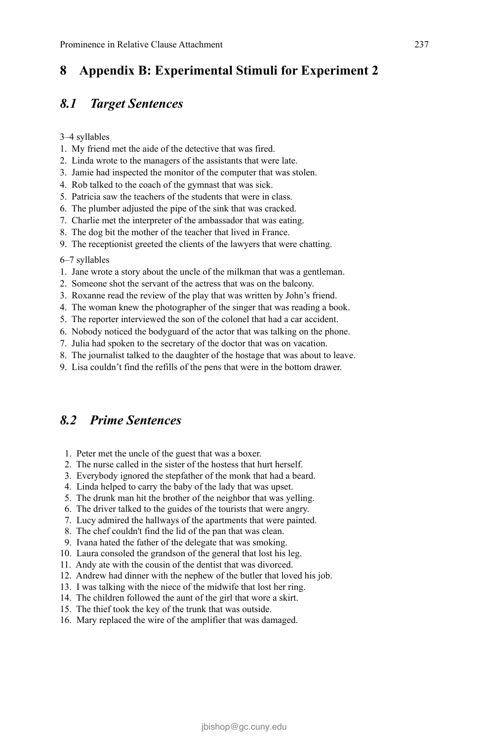# **8 Appendix B: Experimental Stimuli for Experiment 2**

# *8.1 Target Sentences*

- 3–4 syllables
- 1. My friend met the aide of the detective that was fired.
- 2. Linda wrote to the managers of the assistants that were late.
- 3. Jamie had inspected the monitor of the computer that was stolen.
- 4. Rob talked to the coach of the gymnast that was sick.
- 5. Patricia saw the teachers of the students that were in class.
- 6. The plumber adjusted the pipe of the sink that was cracked.
- 7. Charlie met the interpreter of the ambassador that was eating.
- 8. The dog bit the mother of the teacher that lived in France.
- 9. The receptionist greeted the clients of the lawyers that were chatting.
- 6–7 syllables
- 1. Jane wrote a story about the uncle of the milkman that was a gentleman.
- 2. Someone shot the servant of the actress that was on the balcony.
- 3. Roxanne read the review of the play that was written by John's friend.
- 4. The woman knew the photographer of the singer that was reading a book.
- 5. The reporter interviewed the son of the colonel that had a car accident.
- 6. Nobody noticed the bodyguard of the actor that was talking on the phone.
- 7. Julia had spoken to the secretary of the doctor that was on vacation.
- 8. The journalist talked to the daughter of the hostage that was about to leave.
- 9. Lisa couldn't find the refills of the pens that were in the bottom drawer.

# *8.2 Prime Sentences*

- 1. Peter met the uncle of the guest that was a boxer.
- 2. The nurse called in the sister of the hostess that hurt herself.
- 3. Everybody ignored the stepfather of the monk that had a beard.
- 4. Linda helped to carry the baby of the lady that was upset.
- 5. The drunk man hit the brother of the neighbor that was yelling.
- 6. The driver talked to the guides of the tourists that were angry.
- 7. Lucy admired the hallways of the apartments that were painted.
- 8. The chef couldn't find the lid of the pan that was clean.
- 9. Ivana hated the father of the delegate that was smoking.
- 10. Laura consoled the grandson of the general that lost his leg.
- 11. Andy ate with the cousin of the dentist that was divorced.
- 12. Andrew had dinner with the nephew of the butler that loved his job.
- 13. I was talking with the niece of the midwife that lost her ring.
- 14. The children followed the aunt of the girl that wore a skirt.
- 15. The thief took the key of the trunk that was outside.
- 16. Mary replaced the wire of the amplifier that was damaged.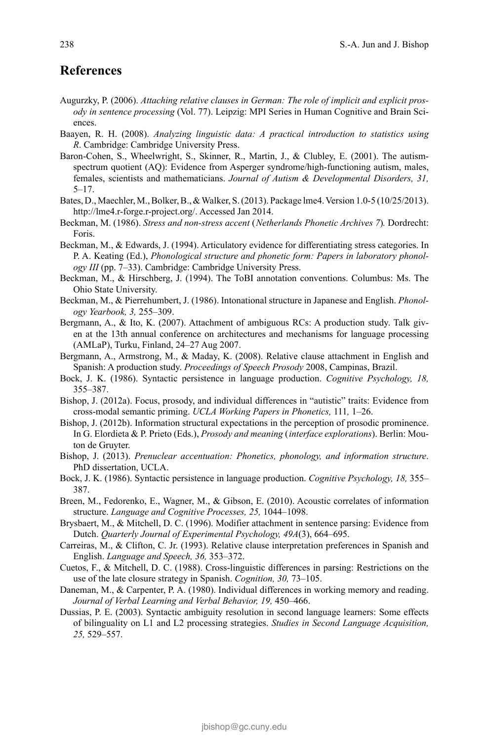# **References**

- Augurzky, P. (2006). *Attaching relative clauses in German: The role of implicit and explicit prosody in sentence processing* (Vol. 77). Leipzig: MPI Series in Human Cognitive and Brain Sciences.
- Baayen, R. H. (2008). *Analyzing linguistic data: A practical introduction to statistics using R*. Cambridge: Cambridge University Press.
- Baron-Cohen, S., Wheelwright, S., Skinner, R., Martin, J., & Clubley, E. (2001). The autismspectrum quotient (AQ): Evidence from Asperger syndrome/high-functioning autism, males, females, scientists and mathematicians. *Journal of Autism & Developmental Disorders, 31,* 5–17.
- Bates, D., Maechler, M., Bolker, B., & Walker, S. (2013). Package lme4. Version 1.0-5 (10/25/2013). http://lme4.r-forge.r-project.org/. Accessed Jan 2014.
- Beckman, M. (1986). *Stress and non-stress accent* ( *Netherlands Phonetic Archives 7*)*.* Dordrecht: Foris.
- Beckman, M., & Edwards, J. (1994). Articulatory evidence for differentiating stress categories. In P. A. Keating (Ed.), *Phonological structure and phonetic form: Papers in laboratory phonology III* (pp. 7–33). Cambridge: Cambridge University Press.
- Beckman, M., & Hirschberg, J. (1994). The ToBI annotation conventions. Columbus: Ms. The Ohio State University.
- Beckman, M., & Pierrehumbert, J. (1986). Intonational structure in Japanese and English. *Phonology Yearbook, 3,* 255–309.
- Bergmann, A., & Ito, K. (2007). Attachment of ambiguous RCs: A production study. Talk given at the 13th annual conference on architectures and mechanisms for language processing (AMLaP), Turku, Finland, 24–27 Aug 2007.
- Bergmann, A., Armstrong, M., & Maday, K. (2008). Relative clause attachment in English and Spanish: A production study. *Proceedings of Speech Prosody* 2008, Campinas, Brazil.
- Bock, J. K. (1986). Syntactic persistence in language production. *Cognitive Psychology, 18,* 355–387.
- Bishop, J. (2012a). Focus, prosody, and individual differences in "autistic" traits: Evidence from cross-modal semantic priming. *UCLA Working Papers in Phonetics,* 111*,* 1–26.
- Bishop, J. (2012b). Information structural expectations in the perception of prosodic prominence. In G. Elordieta & P. Prieto (Eds.), *Prosody and meaning* ( *interface explorations*). Berlin: Mouton de Gruyter.
- Bishop, J. (2013). *Prenuclear accentuation: Phonetics, phonology, and information structure*. PhD dissertation, UCLA.
- Bock, J. K. (1986). Syntactic persistence in language production. *Cognitive Psychology, 18,* 355– 387.
- Breen, M., Fedorenko, E., Wagner, M., & Gibson, E. (2010). Acoustic correlates of information structure. *Language and Cognitive Processes, 25,* 1044–1098.
- Brysbaert, M., & Mitchell, D. C. (1996). Modifier attachment in sentence parsing: Evidence from Dutch. *Quarterly Journal of Experimental Psychology, 49A*(3), 664–695.
- Carreiras, M., & Clifton, C. Jr. (1993). Relative clause interpretation preferences in Spanish and English. *Language and Speech, 36,* 353–372.
- Cuetos, F., & Mitchell, D. C. (1988). Cross-linguistic differences in parsing: Restrictions on the use of the late closure strategy in Spanish. *Cognition, 30,* 73–105.
- Daneman, M., & Carpenter, P. A. (1980). Individual differences in working memory and reading. *Journal of Verbal Learning and Verbal Behavior, 19,* 450–466.
- Dussias, P. E. (2003). Syntactic ambiguity resolution in second language learners: Some effects of bilinguality on L1 and L2 processing strategies. *Studies in Second Language Acquisition, 25,* 529–557.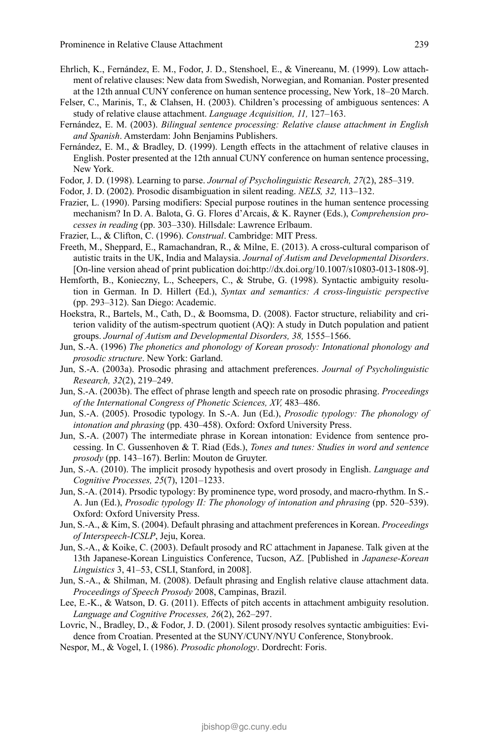- Ehrlich, K., Fernández, E. M., Fodor, J. D., Stenshoel, E., & Vinereanu, M. (1999). Low attachment of relative clauses: New data from Swedish, Norwegian, and Romanian. Poster presented at the 12th annual CUNY conference on human sentence processing, New York, 18–20 March.
- Felser, C., Marinis, T., & Clahsen, H. (2003). Children's processing of ambiguous sentences: A study of relative clause attachment. *Language Acquisition, 11,* 127–163.
- Fernández, E. M. (2003). *Bilingual sentence processing: Relative clause attachment in English and Spanish*. Amsterdam: John Benjamins Publishers.
- Fernández, E. M., & Bradley, D. (1999). Length effects in the attachment of relative clauses in English. Poster presented at the 12th annual CUNY conference on human sentence processing, New York.
- Fodor, J. D. (1998). Learning to parse. *Journal of Psycholinguistic Research, 27*(2), 285–319.
- Fodor, J. D. (2002). Prosodic disambiguation in silent reading. *NELS, 32,* 113–132.
- Frazier, L. (1990). Parsing modifiers: Special purpose routines in the human sentence processing mechanism? In D. A. Balota, G. G. Flores d'Arcais, & K. Rayner (Eds.), *Comprehension processes in reading* (pp. 303–330). Hillsdale: Lawrence Erlbaum.
- Frazier, L., & Clifton, C. (1996). *Construal*. Cambridge: MIT Press.
- Freeth, M., Sheppard, E., Ramachandran, R., & Milne, E. (2013). A cross-cultural comparison of autistic traits in the UK, India and Malaysia. *Journal of Autism and Developmental Disorders*. [On-line version ahead of print publication doi[:http://dx.doi.org/10.1007/s10803-013-1808-9\]](http://dx.doi.org/10.1007/s10803-013-1808-9).
- Hemforth, B., Konieczny, L., Scheepers, C., & Strube, G. (1998). Syntactic ambiguity resolution in German. In D. Hillert (Ed.), *Syntax and semantics: A cross-linguistic perspective* (pp. 293–312). San Diego: Academic.
- Hoekstra, R., Bartels, M., Cath, D., & Boomsma, D. (2008). Factor structure, reliability and criterion validity of the autism-spectrum quotient (AQ): A study in Dutch population and patient groups. *Journal of Autism and Developmental Disorders, 38,* 1555–1566.
- Jun, S.-A. (1996) *The phonetics and phonology of Korean prosody: Intonational phonology and prosodic structure*. New York: Garland.
- Jun, S.-A. (2003a). Prosodic phrasing and attachment preferences. *Journal of Psycholinguistic Research, 32*(2), 219–249.
- Jun, S.-A. (2003b). The effect of phrase length and speech rate on prosodic phrasing. *Proceedings of the International Congress of Phonetic Sciences, XV,* 483–486.
- Jun, S.-A. (2005). Prosodic typology. In S.-A. Jun (Ed.), *Prosodic typology: The phonology of intonation and phrasing* (pp. 430–458). Oxford: Oxford University Press.
- Jun, S.-A. (2007) The intermediate phrase in Korean intonation: Evidence from sentence processing. In C. Gussenhoven & T. Riad (Eds.), *Tones and tunes: Studies in word and sentence prosody* (pp. 143–167). Berlin: Mouton de Gruyter.
- Jun, S.-A. (2010). The implicit prosody hypothesis and overt prosody in English. *Language and Cognitive Processes, 25*(7), 1201–1233.
- Jun, S.-A. (2014). Prsodic typology: By prominence type, word prosody, and macro-rhythm. In S.- A. Jun (Ed.), *Prosodic typology II: The phonology of intonation and phrasing* (pp. 520–539). Oxford: Oxford University Press.
- Jun, S.-A., & Kim, S. (2004). Default phrasing and attachment preferences in Korean. *Proceedings of Interspeech-ICSLP*, Jeju, Korea.
- Jun, S.-A., & Koike, C. (2003). Default prosody and RC attachment in Japanese. Talk given at the 13th Japanese-Korean Linguistics Conference, Tucson, AZ. [Published in *Japanese-Korean Linguistics* 3, 41–53, CSLI, Stanford, in 2008].
- Jun, S.-A., & Shilman, M. (2008). Default phrasing and English relative clause attachment data. *Proceedings of Speech Prosody* 2008, Campinas, Brazil.
- Lee, E.-K., & Watson, D. G. (2011). Effects of pitch accents in attachment ambiguity resolution. *Language and Cognitive Processes, 26*(2), 262–297.
- Lovric, N., Bradley, D., & Fodor, J. D. (2001). Silent prosody resolves syntactic ambiguities: Evidence from Croatian. Presented at the SUNY/CUNY/NYU Conference, Stonybrook.
- Nespor, M., & Vogel, I. (1986). *Prosodic phonology*. Dordrecht: Foris.